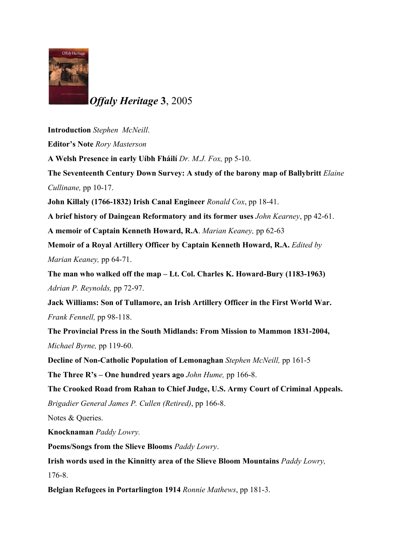

*Offaly Heritage* **3**, 2005

**Introduction** *Stephen McNeill*. **Editor's Note** *Rory Masterson* **A Welsh Presence in early Uíbh Fháilí** *Dr. M.J. Fox,* pp 5-10. **The Seventeenth Century Down Survey: A study of the barony map of Ballybritt** *Elaine Cullinane,* pp 10-17. **John Killaly (1766-1832) Irish Canal Engineer** *Ronald Cox*, pp 18-41. **A brief history of Daingean Reformatory and its former uses** *John Kearney*, pp 42-61. **A memoir of Captain Kenneth Howard, R.A**. *Marian Keaney,* pp 62-63 **Memoir of a Royal Artillery Officer by Captain Kenneth Howard, R.A.** *Edited by Marian Keaney,* pp 64-71. **The man who walked off the map – Lt. Col. Charles K. Howard-Bury (1183-1963)** *Adrian P. Reynolds,* pp 72-97. **Jack Williams: Son of Tullamore, an Irish Artillery Officer in the First World War.** *Frank Fennell,* pp 98-118. **The Provincial Press in the South Midlands: From Mission to Mammon 1831-2004,** *Michael Byrne,* pp 119-60. **Decline of Non-Catholic Population of Lemonaghan** *Stephen McNeill,* pp 161-5 **The Three R's – One hundred years ago** *John Hume,* pp 166-8. **The Crooked Road from Rahan to Chief Judge, U.S. Army Court of Criminal Appeals.** *Brigadier General James P. Cullen (Retired)*, pp 166-8. Notes & Queries. **Knocknaman** *Paddy Lowry.* **Poems/Songs from the Slieve Blooms** *Paddy Lowry*. **Irish words used in the Kinnitty area of the Slieve Bloom Mountains** *Paddy Lowry,* 176-8.

**Belgian Refugees in Portarlington 1914** *Ronnie Mathews*, pp 181-3.